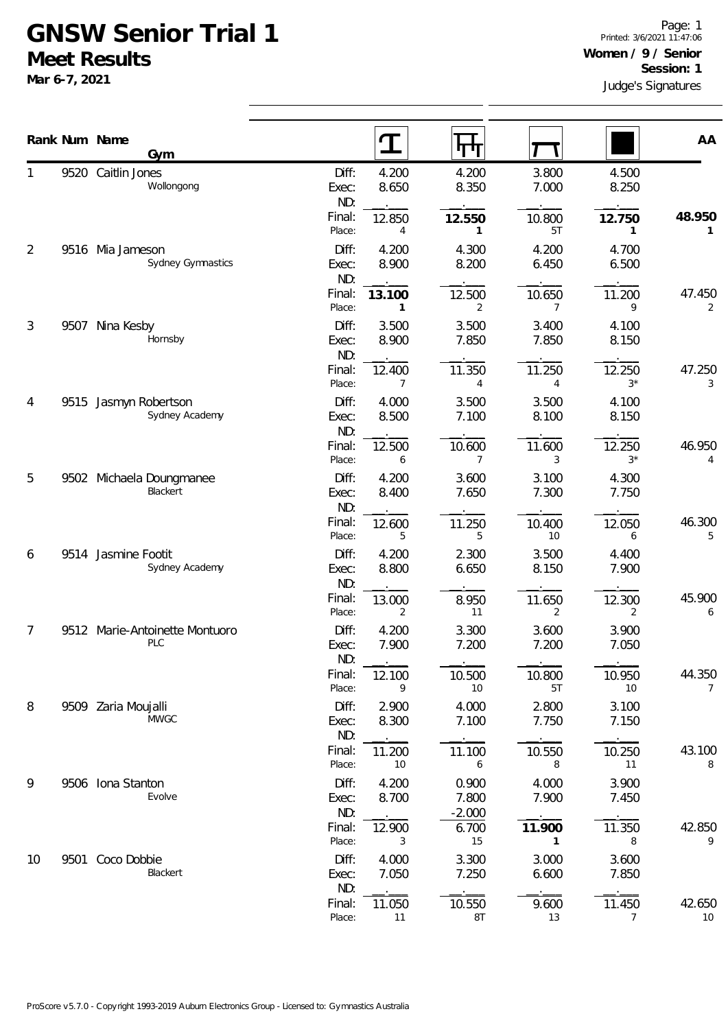## **GNSW Senior Trial 1 Meet Results**

**Mar 6-7, 2021**

|                |      | Rank Num Name                         |                                 | $\mathbf T$              |                                     |                                  |                          | AA                       |
|----------------|------|---------------------------------------|---------------------------------|--------------------------|-------------------------------------|----------------------------------|--------------------------|--------------------------|
|                |      | Gym                                   |                                 |                          | पा                                  |                                  |                          |                          |
|                |      | 9520 Caitlin Jones<br>Wollongong      | Diff:<br>Exec:<br>ND:           | 4.200<br>8.650           | 4.200<br>8.350                      | 3.800<br>7.000                   | 4.500<br>8.250           |                          |
|                |      |                                       | Final:<br>Place:                | 12.850<br>4              | 12.550<br>1                         | 10.800<br>5T                     | 12.750<br>1              | 48.950<br>1              |
| $\overline{2}$ | 9516 | Mia Jameson<br>Sydney Gymnastics      | Diff:<br>Exec:<br>ND:           | 4.200<br>8.900           | 4.300<br>8.200                      | 4.200<br>6.450                   | 4.700<br>6.500           |                          |
|                |      |                                       | Final:<br>Place:                | 13.100<br>1              | 12.500<br>2                         | 10.650<br>$\overline{7}$         | 11.200<br>9              | 47.450<br>2              |
| 3              | 9507 | Nina Kesby<br>Hornsby                 | Diff:<br>Exec:<br>ND:           | 3.500<br>8.900           | 3.500<br>7.850                      | 3.400<br>7.850                   | 4.100<br>8.150           |                          |
|                |      |                                       | Final:<br>Place:                | 12.400<br>7              | 11.350<br>$\overline{4}$            | 11.250<br>4                      | 12.250<br>$3*$           | 47.250<br>3              |
| 4              | 9515 | Jasmyn Robertson<br>Sydney Academy    | Diff:<br>Exec:<br>ND:           | 4.000<br>8.500           | 3.500<br>7.100                      | 3.500<br>8.100                   | 4.100<br>8.150           |                          |
|                |      |                                       | Final:<br>Place:                | 12.500<br>6              | 10.600<br>7                         | 11.600<br>3                      | 12.250<br>$3^*$          | 46.950<br>4              |
| 5              |      | 9502 Michaela Doungmanee<br>Blackert  | Diff:<br>Exec:<br>ND:           | 4.200<br>8.400           | 3.600<br>7.650                      | 3.100<br>7.300                   | 4.300<br>7.750           |                          |
|                |      |                                       | Final:<br>Place:                | 12.600<br>5              | 11.250<br>5                         | 10.400<br>10                     | 12.050<br>6              | 46.300<br>5              |
| 6              | 9514 | Jasmine Footit<br>Sydney Academy      | Diff:<br>Exec:<br>ND:           | 4.200<br>8.800           | 2.300<br>6.650                      | 3.500<br>8.150                   | 4.400<br>7.900           |                          |
|                |      |                                       | Final:<br>Place:                | 13.000<br>2              | 8.950<br>11                         | 11.650<br>$\overline{2}$         | 12.300<br>2              | 45.900<br>6              |
| 7              |      | 9512 Marie-Antoinette Montuoro<br>PLC | Diff:<br>Exec:<br>ND:           | 4.200<br>7.900           | 3.300<br>7.200                      | 3.600<br>7.200                   | 3.900<br>7.050           |                          |
|                |      |                                       | Final:<br>Place:                | 12.100<br>9              | 10.500<br>10                        | 10.800<br>5T                     | 10.950<br>10             | 44.350<br>$\overline{7}$ |
| 8              |      | 9509 Zaria Moujalli<br><b>MWGC</b>    | Diff:<br>Exec:<br>ND:           | 2.900<br>8.300           | 4.000<br>7.100                      | 2.800<br>7.750                   | 3.100<br>7.150           |                          |
|                |      |                                       | Final:<br>Place:                | 11.200<br>10             | 11.100<br>6                         | 10.550<br>8                      | 10.250<br>11             | 43.100<br>8              |
| 9              |      | 9506 Iona Stanton<br>Evolve           | Diff:<br>Exec:<br>ND:<br>Final: | 4.200<br>8.700<br>12.900 | 0.900<br>7.800<br>$-2.000$<br>6.700 | 4.000<br>7.900<br>11.900         | 3.900<br>7.450<br>11.350 | 42.850                   |
| 10             | 9501 | Coco Dobbie<br>Blackert               | Place:<br>Diff:<br>Exec:        | 3<br>4.000<br>7.050      | 15<br>3.300<br>7.250                | $\overline{1}$<br>3.000<br>6.600 | 8<br>3.600<br>7.850      | 9                        |
|                |      |                                       | ND:<br>Final:<br>Place:         | 11.050<br>11             | 10.550<br>8T                        | 9.600<br>13                      | 11.450<br>$\overline{7}$ | 42.650<br>10             |